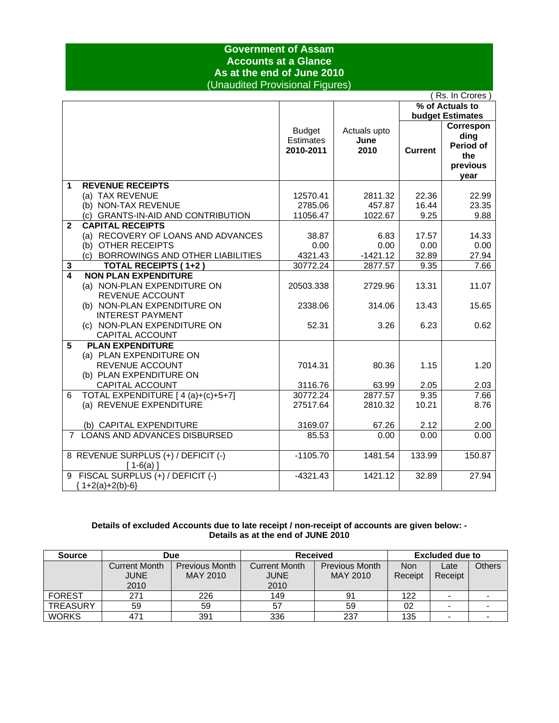### **Government of Assam Accounts at a Glance As at the end of June 2010**  (Unaudited Provisional Figures)

|              | (Rs. In Crores                       |                                                |                              |                |                                                                  |  |  |
|--------------|--------------------------------------|------------------------------------------------|------------------------------|----------------|------------------------------------------------------------------|--|--|
|              |                                      |                                                |                              |                | % of Actuals to                                                  |  |  |
|              |                                      |                                                |                              |                | <b>budget Estimates</b>                                          |  |  |
|              |                                      | <b>Budget</b><br><b>Estimates</b><br>2010-2011 | Actuals upto<br>June<br>2010 | <b>Current</b> | Correspon<br>ding<br><b>Period of</b><br>the<br>previous<br>vear |  |  |
| 1            | <b>REVENUE RECEIPTS</b>              |                                                |                              |                |                                                                  |  |  |
|              | (a) TAX REVENUE                      | 12570.41                                       | 2811.32                      | 22.36          | 22.99                                                            |  |  |
|              | (b) NON-TAX REVENUE                  | 2785.06                                        | 457.87                       | 16.44          | 23.35                                                            |  |  |
|              | (c) GRANTS-IN-AID AND CONTRIBUTION   | 11056.47                                       | 1022.67                      | 9.25           | 9.88                                                             |  |  |
| $\mathbf{2}$ | <b>CAPITAL RECEIPTS</b>              |                                                |                              |                |                                                                  |  |  |
|              | (a) RECOVERY OF LOANS AND ADVANCES   | 38.87                                          | 6.83                         | 17.57          | 14.33                                                            |  |  |
|              | (b) OTHER RECEIPTS                   | 0.00                                           | 0.00                         | 0.00           | 0.00                                                             |  |  |
|              | (c) BORROWINGS AND OTHER LIABILITIES | 4321.43                                        | $-1421.12$                   | 32.89          | 27.94                                                            |  |  |
| 3            | <b>TOTAL RECEIPTS (1+2)</b>          | 30772.24                                       | 2877.57                      | 9.35           | 7.66                                                             |  |  |
| 4            | <b>NON PLAN EXPENDITURE</b>          |                                                |                              |                |                                                                  |  |  |
|              | (a) NON-PLAN EXPENDITURE ON          | 20503.338                                      | 2729.96                      | 13.31          | 11.07                                                            |  |  |
|              | REVENUE ACCOUNT                      |                                                |                              |                |                                                                  |  |  |
|              | (b) NON-PLAN EXPENDITURE ON          | 2338.06                                        | 314.06                       | 13.43          | 15.65                                                            |  |  |
|              | <b>INTEREST PAYMENT</b>              |                                                |                              |                |                                                                  |  |  |
|              | (c) NON-PLAN EXPENDITURE ON          | 52.31                                          | 3.26                         | 6.23           | 0.62                                                             |  |  |
|              | CAPITAL ACCOUNT                      |                                                |                              |                |                                                                  |  |  |
| 5            | <b>PLAN EXPENDITURE</b>              |                                                |                              |                |                                                                  |  |  |
|              | (a) PLAN EXPENDITURE ON              |                                                |                              |                |                                                                  |  |  |
|              | <b>REVENUE ACCOUNT</b>               | 7014.31                                        | 80.36                        | 1.15           | 1.20                                                             |  |  |
|              | (b) PLAN EXPENDITURE ON              |                                                |                              |                |                                                                  |  |  |
|              | CAPITAL ACCOUNT                      | 3116.76                                        | 63.99                        | 2.05           | 2.03                                                             |  |  |
| 6            | TOTAL EXPENDITURE [4(a)+(c)+5+7]     | 30772.24                                       | 2877.57                      | 9.35           | 7.66                                                             |  |  |
|              | (a) REVENUE EXPENDITURE              | 27517.64                                       | 2810.32                      | 10.21          | 8.76                                                             |  |  |
|              |                                      |                                                |                              |                |                                                                  |  |  |
|              | (b) CAPITAL EXPENDITURE              | 3169.07                                        | 67.26                        | 2.12           | 2.00                                                             |  |  |
|              | 7 LOANS AND ADVANCES DISBURSED       | 85.53                                          | 0.00                         | 0.00           | 0.00                                                             |  |  |
|              |                                      |                                                |                              |                |                                                                  |  |  |
|              | 8 REVENUE SURPLUS (+) / DEFICIT (-)  | $-1105.70$                                     | 1481.54                      | 133.99         | 150.87                                                           |  |  |
|              | $[1-6(a)]$                           |                                                |                              |                |                                                                  |  |  |
|              | 9 FISCAL SURPLUS (+) / DEFICIT (-)   | $-4321.43$                                     | 1421.12                      | 32.89          | 27.94                                                            |  |  |
|              | ${1+2(a)+2(b)-6}$                    |                                                |                              |                |                                                                  |  |  |

### **Details of excluded Accounts due to late receipt / non-receipt of accounts are given below: - Details as at the end of JUNE 2010**

| <b>Source</b>   | Due                  |                       | <b>Received</b>      |                       | Excluded due to |         |               |
|-----------------|----------------------|-----------------------|----------------------|-----------------------|-----------------|---------|---------------|
|                 | <b>Current Month</b> | <b>Previous Month</b> | <b>Current Month</b> | <b>Previous Month</b> | <b>Non</b>      | Late    | <b>Others</b> |
|                 | <b>JUNE</b>          | MAY 2010              | <b>JUNE</b>          | MAY 2010              | Receipt         | Receipt |               |
|                 | 2010                 |                       | 2010                 |                       |                 |         |               |
| <b>FOREST</b>   | 271                  | 226                   | 149                  | 91                    | 122             |         |               |
| <b>TREASURY</b> | 59                   | 59                    | 57                   | 59                    | 02              |         |               |
| <b>WORKS</b>    | 471                  | 391                   | 336                  | 237                   | 135             |         |               |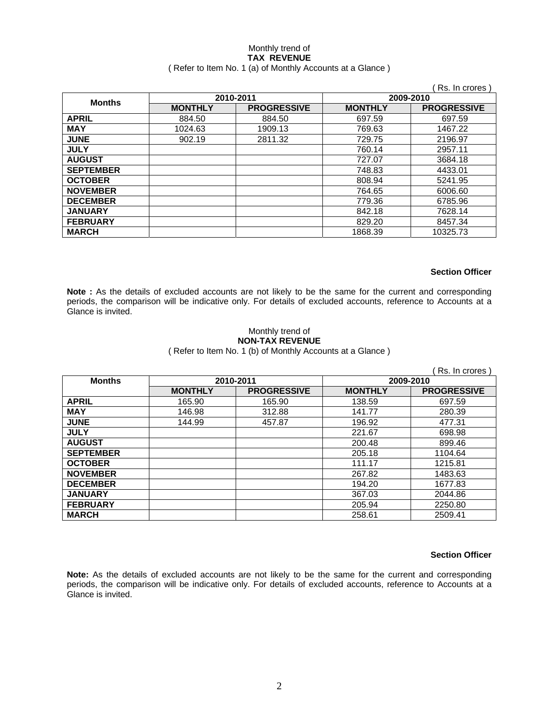#### Monthly trend of **TAX REVENUE**  ( Refer to Item No. 1 (a) of Monthly Accounts at a Glance )

|                  |                |                    |                | Rs. In crores      |  |
|------------------|----------------|--------------------|----------------|--------------------|--|
|                  |                | 2010-2011          | 2009-2010      |                    |  |
| <b>Months</b>    | <b>MONTHLY</b> | <b>PROGRESSIVE</b> | <b>MONTHLY</b> | <b>PROGRESSIVE</b> |  |
| <b>APRIL</b>     | 884.50         | 884.50             | 697.59         | 697.59             |  |
| <b>MAY</b>       | 1024.63        | 1909.13            | 769.63         | 1467.22            |  |
| <b>JUNE</b>      | 902.19         | 2811.32            | 729.75         | 2196.97            |  |
| <b>JULY</b>      |                |                    | 760.14         | 2957.11            |  |
| <b>AUGUST</b>    |                |                    | 727.07         | 3684.18            |  |
| <b>SEPTEMBER</b> |                |                    | 748.83         | 4433.01            |  |
| <b>OCTOBER</b>   |                |                    | 808.94         | 5241.95            |  |
| <b>NOVEMBER</b>  |                |                    | 764.65         | 6006.60            |  |
| <b>DECEMBER</b>  |                |                    | 779.36         | 6785.96            |  |
| <b>JANUARY</b>   |                |                    | 842.18         | 7628.14            |  |
| <b>FEBRUARY</b>  |                |                    | 829.20         | 8457.34            |  |
| <b>MARCH</b>     |                |                    | 1868.39        | 10325.73           |  |

#### **Section Officer**

**Note :** As the details of excluded accounts are not likely to be the same for the current and corresponding periods, the comparison will be indicative only. For details of excluded accounts, reference to Accounts at a Glance is invited.

#### Monthly trend of **NON-TAX REVENUE**  ( Refer to Item No. 1 (b) of Monthly Accounts at a Glance )

|                  |                |                    |                | Rs. In crores      |
|------------------|----------------|--------------------|----------------|--------------------|
| <b>Months</b>    | 2010-2011      |                    | 2009-2010      |                    |
|                  | <b>MONTHLY</b> | <b>PROGRESSIVE</b> | <b>MONTHLY</b> | <b>PROGRESSIVE</b> |
| <b>APRIL</b>     | 165.90         | 165.90             | 138.59         | 697.59             |
| <b>MAY</b>       | 146.98         | 312.88             | 141.77         | 280.39             |
| <b>JUNE</b>      | 144.99         | 457.87             | 196.92         | 477.31             |
| <b>JULY</b>      |                |                    | 221.67         | 698.98             |
| <b>AUGUST</b>    |                |                    | 200.48         | 899.46             |
| <b>SEPTEMBER</b> |                |                    | 205.18         | 1104.64            |
| <b>OCTOBER</b>   |                |                    | 111.17         | 1215.81            |
| <b>NOVEMBER</b>  |                |                    | 267.82         | 1483.63            |
| <b>DECEMBER</b>  |                |                    | 194.20         | 1677.83            |
| <b>JANUARY</b>   |                |                    | 367.03         | 2044.86            |
| <b>FEBRUARY</b>  |                |                    | 205.94         | 2250.80            |
| <b>MARCH</b>     |                |                    | 258.61         | 2509.41            |

#### **Section Officer**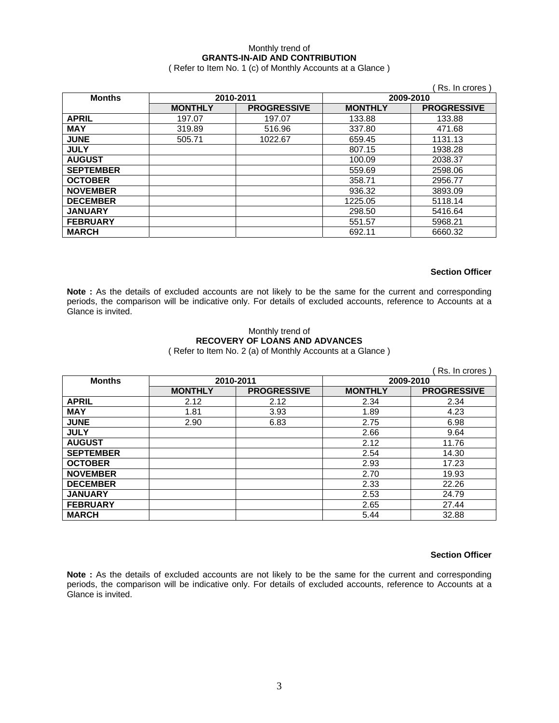### Monthly trend of **GRANTS-IN-AID AND CONTRIBUTION**

( Refer to Item No. 1 (c) of Monthly Accounts at a Glance )

|                  |                |                    |                | Rs. In crores      |
|------------------|----------------|--------------------|----------------|--------------------|
| <b>Months</b>    |                | 2010-2011          | 2009-2010      |                    |
|                  | <b>MONTHLY</b> | <b>PROGRESSIVE</b> | <b>MONTHLY</b> | <b>PROGRESSIVE</b> |
| <b>APRIL</b>     | 197.07         | 197.07             | 133.88         | 133.88             |
| <b>MAY</b>       | 319.89         | 516.96             | 337.80         | 471.68             |
| <b>JUNE</b>      | 505.71         | 1022.67            | 659.45         | 1131.13            |
| <b>JULY</b>      |                |                    | 807.15         | 1938.28            |
| <b>AUGUST</b>    |                |                    | 100.09         | 2038.37            |
| <b>SEPTEMBER</b> |                |                    | 559.69         | 2598.06            |
| <b>OCTOBER</b>   |                |                    | 358.71         | 2956.77            |
| <b>NOVEMBER</b>  |                |                    | 936.32         | 3893.09            |
| <b>DECEMBER</b>  |                |                    | 1225.05        | 5118.14            |
| <b>JANUARY</b>   |                |                    | 298.50         | 5416.64            |
| <b>FEBRUARY</b>  |                |                    | 551.57         | 5968.21            |
| <b>MARCH</b>     |                |                    | 692.11         | 6660.32            |

#### **Section Officer**

**Note :** As the details of excluded accounts are not likely to be the same for the current and corresponding periods, the comparison will be indicative only. For details of excluded accounts, reference to Accounts at a Glance is invited.

#### Monthly trend of **RECOVERY OF LOANS AND ADVANCES**  ( Refer to Item No. 2 (a) of Monthly Accounts at a Glance )

|                  |                |                    |                | Rs. In crores      |
|------------------|----------------|--------------------|----------------|--------------------|
| <b>Months</b>    | 2010-2011      |                    | 2009-2010      |                    |
|                  | <b>MONTHLY</b> | <b>PROGRESSIVE</b> | <b>MONTHLY</b> | <b>PROGRESSIVE</b> |
| <b>APRIL</b>     | 2.12           | 2.12               | 2.34           | 2.34               |
| <b>MAY</b>       | 1.81           | 3.93               | 1.89           | 4.23               |
| <b>JUNE</b>      | 2.90           | 6.83               | 2.75           | 6.98               |
| <b>JULY</b>      |                |                    | 2.66           | 9.64               |
| <b>AUGUST</b>    |                |                    | 2.12           | 11.76              |
| <b>SEPTEMBER</b> |                |                    | 2.54           | 14.30              |
| <b>OCTOBER</b>   |                |                    | 2.93           | 17.23              |
| <b>NOVEMBER</b>  |                |                    | 2.70           | 19.93              |
| <b>DECEMBER</b>  |                |                    | 2.33           | 22.26              |
| <b>JANUARY</b>   |                |                    | 2.53           | 24.79              |
| <b>FEBRUARY</b>  |                |                    | 2.65           | 27.44              |
| <b>MARCH</b>     |                |                    | 5.44           | 32.88              |

#### **Section Officer**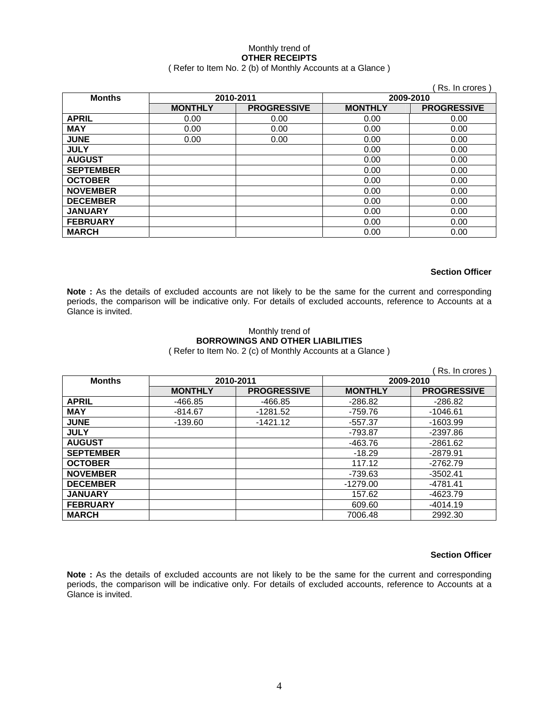#### Monthly trend of **OTHER RECEIPTS**  ( Refer to Item No. 2 (b) of Monthly Accounts at a Glance )

|                            |                |                    |                | Rs. In crores)     |
|----------------------------|----------------|--------------------|----------------|--------------------|
| <b>Months</b><br>2010-2011 |                | 2009-2010          |                |                    |
|                            | <b>MONTHLY</b> | <b>PROGRESSIVE</b> | <b>MONTHLY</b> | <b>PROGRESSIVE</b> |
| <b>APRIL</b>               | 0.00           | 0.00               | 0.00           | 0.00               |
| <b>MAY</b>                 | 0.00           | 0.00               | 0.00           | 0.00               |
| <b>JUNE</b>                | 0.00           | 0.00               | 0.00           | 0.00               |
| <b>JULY</b>                |                |                    | 0.00           | 0.00               |
| <b>AUGUST</b>              |                |                    | 0.00           | 0.00               |
| <b>SEPTEMBER</b>           |                |                    | 0.00           | 0.00               |
| <b>OCTOBER</b>             |                |                    | 0.00           | 0.00               |
| <b>NOVEMBER</b>            |                |                    | 0.00           | 0.00               |
| <b>DECEMBER</b>            |                |                    | 0.00           | 0.00               |
| <b>JANUARY</b>             |                |                    | 0.00           | 0.00               |
| <b>FEBRUARY</b>            |                |                    | 0.00           | 0.00               |
| <b>MARCH</b>               |                |                    | 0.00           | 0.00               |

#### **Section Officer**

Note : As the details of excluded accounts are not likely to be the same for the current and corresponding periods, the comparison will be indicative only. For details of excluded accounts, reference to Accounts at a Glance is invited.

#### Monthly trend of **BORROWINGS AND OTHER LIABILITIES**  ( Refer to Item No. 2 (c) of Monthly Accounts at a Glance )

|                  |                |                    |                | Rs. In crores      |
|------------------|----------------|--------------------|----------------|--------------------|
| <b>Months</b>    |                | 2010-2011          | 2009-2010      |                    |
|                  | <b>MONTHLY</b> | <b>PROGRESSIVE</b> | <b>MONTHLY</b> | <b>PROGRESSIVE</b> |
| <b>APRIL</b>     | -466.85        | -466.85            | $-286.82$      | $-286.82$          |
| <b>MAY</b>       | $-814.67$      | $-1281.52$         | $-759.76$      | $-1046.61$         |
| <b>JUNE</b>      | $-139.60$      | $-1421.12$         | $-557.37$      | $-1603.99$         |
| <b>JULY</b>      |                |                    | $-793.87$      | $-2397.86$         |
| <b>AUGUST</b>    |                |                    | -463.76        | $-2861.62$         |
| <b>SEPTEMBER</b> |                |                    | $-18.29$       | -2879.91           |
| <b>OCTOBER</b>   |                |                    | 117.12         | $-2762.79$         |
| <b>NOVEMBER</b>  |                |                    | -739.63        | $-3502.41$         |
| <b>DECEMBER</b>  |                |                    | $-1279.00$     | -4781.41           |
| <b>JANUARY</b>   |                |                    | 157.62         | -4623.79           |
| <b>FEBRUARY</b>  |                |                    | 609.60         | $-4014.19$         |
| <b>MARCH</b>     |                |                    | 7006.48        | 2992.30            |

#### **Section Officer**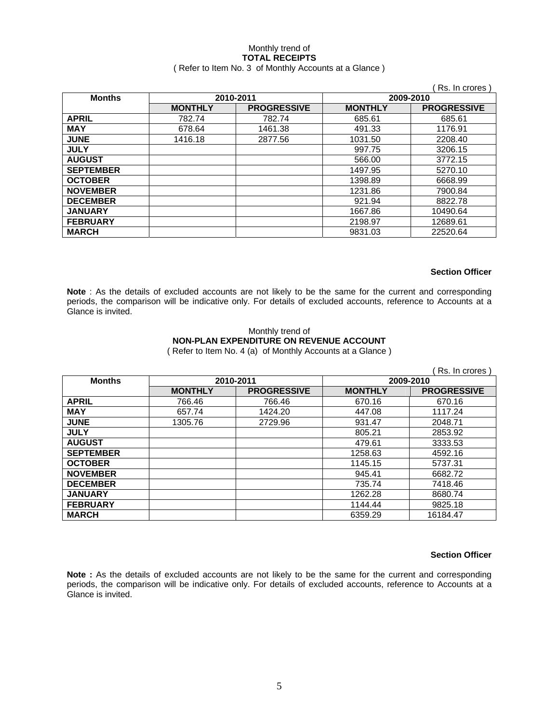# Monthly trend of **TOTAL RECEIPTS**

### ( Refer to Item No. 3 of Monthly Accounts at a Glance )

|                  |                |                    |                | Rs. In crores      |
|------------------|----------------|--------------------|----------------|--------------------|
| <b>Months</b>    |                | 2010-2011          | 2009-2010      |                    |
|                  | <b>MONTHLY</b> | <b>PROGRESSIVE</b> | <b>MONTHLY</b> | <b>PROGRESSIVE</b> |
| <b>APRIL</b>     | 782.74         | 782.74             | 685.61         | 685.61             |
| <b>MAY</b>       | 678.64         | 1461.38            | 491.33         | 1176.91            |
| <b>JUNE</b>      | 1416.18        | 2877.56            | 1031.50        | 2208.40            |
| <b>JULY</b>      |                |                    | 997.75         | 3206.15            |
| <b>AUGUST</b>    |                |                    | 566.00         | 3772.15            |
| <b>SEPTEMBER</b> |                |                    | 1497.95        | 5270.10            |
| <b>OCTOBER</b>   |                |                    | 1398.89        | 6668.99            |
| <b>NOVEMBER</b>  |                |                    | 1231.86        | 7900.84            |
| <b>DECEMBER</b>  |                |                    | 921.94         | 8822.78            |
| <b>JANUARY</b>   |                |                    | 1667.86        | 10490.64           |
| <b>FEBRUARY</b>  |                |                    | 2198.97        | 12689.61           |
| <b>MARCH</b>     |                |                    | 9831.03        | 22520.64           |

#### **Section Officer**

**Note** : As the details of excluded accounts are not likely to be the same for the current and corresponding periods, the comparison will be indicative only. For details of excluded accounts, reference to Accounts at a Glance is invited.

#### Monthly trend of **NON-PLAN EXPENDITURE ON REVENUE ACCOUNT**  ( Refer to Item No. 4 (a) of Monthly Accounts at a Glance )

|                  |                |                    |                | Rs. In crores      |
|------------------|----------------|--------------------|----------------|--------------------|
| <b>Months</b>    | 2010-2011      |                    | 2009-2010      |                    |
|                  | <b>MONTHLY</b> | <b>PROGRESSIVE</b> | <b>MONTHLY</b> | <b>PROGRESSIVE</b> |
| <b>APRIL</b>     | 766.46         | 766.46             | 670.16         | 670.16             |
| <b>MAY</b>       | 657.74         | 1424.20            | 447.08         | 1117.24            |
| <b>JUNE</b>      | 1305.76        | 2729.96            | 931.47         | 2048.71            |
| <b>JULY</b>      |                |                    | 805.21         | 2853.92            |
| <b>AUGUST</b>    |                |                    | 479.61         | 3333.53            |
| <b>SEPTEMBER</b> |                |                    | 1258.63        | 4592.16            |
| <b>OCTOBER</b>   |                |                    | 1145.15        | 5737.31            |
| <b>NOVEMBER</b>  |                |                    | 945.41         | 6682.72            |
| <b>DECEMBER</b>  |                |                    | 735.74         | 7418.46            |
| <b>JANUARY</b>   |                |                    | 1262.28        | 8680.74            |
| <b>FEBRUARY</b>  |                |                    | 1144.44        | 9825.18            |
| <b>MARCH</b>     |                |                    | 6359.29        | 16184.47           |

#### **Section Officer**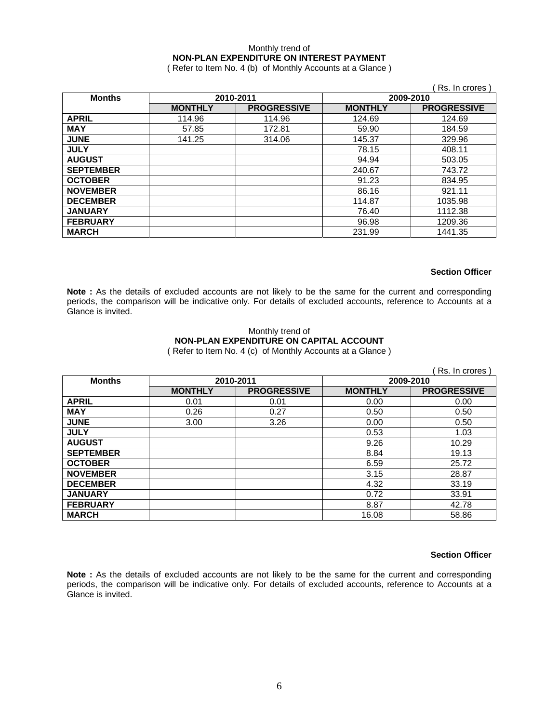### Monthly trend of **NON-PLAN EXPENDITURE ON INTEREST PAYMENT**

( Refer to Item No. 4 (b) of Monthly Accounts at a Glance )

|                  |                |                    |                | Rs. In crores      |
|------------------|----------------|--------------------|----------------|--------------------|
| <b>Months</b>    |                | 2010-2011          | 2009-2010      |                    |
|                  | <b>MONTHLY</b> | <b>PROGRESSIVE</b> | <b>MONTHLY</b> | <b>PROGRESSIVE</b> |
| <b>APRIL</b>     | 114.96         | 114.96             | 124.69         | 124.69             |
| <b>MAY</b>       | 57.85          | 172.81             | 59.90          | 184.59             |
| <b>JUNE</b>      | 141.25         | 314.06             | 145.37         | 329.96             |
| <b>JULY</b>      |                |                    | 78.15          | 408.11             |
| <b>AUGUST</b>    |                |                    | 94.94          | 503.05             |
| <b>SEPTEMBER</b> |                |                    | 240.67         | 743.72             |
| <b>OCTOBER</b>   |                |                    | 91.23          | 834.95             |
| <b>NOVEMBER</b>  |                |                    | 86.16          | 921.11             |
| <b>DECEMBER</b>  |                |                    | 114.87         | 1035.98            |
| <b>JANUARY</b>   |                |                    | 76.40          | 1112.38            |
| <b>FEBRUARY</b>  |                |                    | 96.98          | 1209.36            |
| <b>MARCH</b>     |                |                    | 231.99         | 1441.35            |

#### **Section Officer**

Note : As the details of excluded accounts are not likely to be the same for the current and corresponding periods, the comparison will be indicative only. For details of excluded accounts, reference to Accounts at a Glance is invited.

#### Monthly trend of **NON-PLAN EXPENDITURE ON CAPITAL ACCOUNT**  ( Refer to Item No. 4 (c) of Monthly Accounts at a Glance )

|                  |                |                    |                | Rs. In crores      |
|------------------|----------------|--------------------|----------------|--------------------|
| <b>Months</b>    | 2010-2011      |                    | 2009-2010      |                    |
|                  | <b>MONTHLY</b> | <b>PROGRESSIVE</b> | <b>MONTHLY</b> | <b>PROGRESSIVE</b> |
| <b>APRIL</b>     | 0.01           | 0.01               | 0.00           | 0.00               |
| <b>MAY</b>       | 0.26           | 0.27               | 0.50           | 0.50               |
| <b>JUNE</b>      | 3.00           | 3.26               | 0.00           | 0.50               |
| <b>JULY</b>      |                |                    | 0.53           | 1.03               |
| <b>AUGUST</b>    |                |                    | 9.26           | 10.29              |
| <b>SEPTEMBER</b> |                |                    | 8.84           | 19.13              |
| <b>OCTOBER</b>   |                |                    | 6.59           | 25.72              |
| <b>NOVEMBER</b>  |                |                    | 3.15           | 28.87              |
| <b>DECEMBER</b>  |                |                    | 4.32           | 33.19              |
| <b>JANUARY</b>   |                |                    | 0.72           | 33.91              |
| <b>FEBRUARY</b>  |                |                    | 8.87           | 42.78              |
| <b>MARCH</b>     |                |                    | 16.08          | 58.86              |

#### **Section Officer**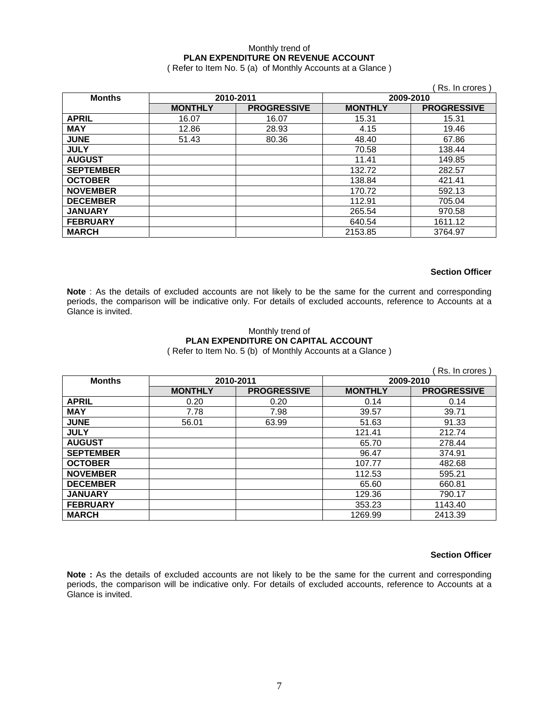### Monthly trend of **PLAN EXPENDITURE ON REVENUE ACCOUNT**

( Refer to Item No. 5 (a) of Monthly Accounts at a Glance )

|                  |                |                    |                | Rs. In crores      |
|------------------|----------------|--------------------|----------------|--------------------|
| <b>Months</b>    | 2010-2011      |                    | 2009-2010      |                    |
|                  | <b>MONTHLY</b> | <b>PROGRESSIVE</b> | <b>MONTHLY</b> | <b>PROGRESSIVE</b> |
| <b>APRIL</b>     | 16.07          | 16.07              | 15.31          | 15.31              |
| <b>MAY</b>       | 12.86          | 28.93              | 4.15           | 19.46              |
| <b>JUNE</b>      | 51.43          | 80.36              | 48.40          | 67.86              |
| <b>JULY</b>      |                |                    | 70.58          | 138.44             |
| <b>AUGUST</b>    |                |                    | 11.41          | 149.85             |
| <b>SEPTEMBER</b> |                |                    | 132.72         | 282.57             |
| <b>OCTOBER</b>   |                |                    | 138.84         | 421.41             |
| <b>NOVEMBER</b>  |                |                    | 170.72         | 592.13             |
| <b>DECEMBER</b>  |                |                    | 112.91         | 705.04             |
| <b>JANUARY</b>   |                |                    | 265.54         | 970.58             |
| <b>FEBRUARY</b>  |                |                    | 640.54         | 1611.12            |
| <b>MARCH</b>     |                |                    | 2153.85        | 3764.97            |

#### **Section Officer**

**Note** : As the details of excluded accounts are not likely to be the same for the current and corresponding periods, the comparison will be indicative only. For details of excluded accounts, reference to Accounts at a Glance is invited.

#### Monthly trend of **PLAN EXPENDITURE ON CAPITAL ACCOUNT**  ( Refer to Item No. 5 (b) of Monthly Accounts at a Glance )

|                  |                |                    |                | Rs. In crores      |
|------------------|----------------|--------------------|----------------|--------------------|
| <b>Months</b>    | 2010-2011      |                    | 2009-2010      |                    |
|                  | <b>MONTHLY</b> | <b>PROGRESSIVE</b> | <b>MONTHLY</b> | <b>PROGRESSIVE</b> |
| <b>APRIL</b>     | 0.20           | 0.20               | 0.14           | 0.14               |
| <b>MAY</b>       | 7.78           | 7.98               | 39.57          | 39.71              |
| <b>JUNE</b>      | 56.01          | 63.99              | 51.63          | 91.33              |
| <b>JULY</b>      |                |                    | 121.41         | 212.74             |
| <b>AUGUST</b>    |                |                    | 65.70          | 278.44             |
| <b>SEPTEMBER</b> |                |                    | 96.47          | 374.91             |
| <b>OCTOBER</b>   |                |                    | 107.77         | 482.68             |
| <b>NOVEMBER</b>  |                |                    | 112.53         | 595.21             |
| <b>DECEMBER</b>  |                |                    | 65.60          | 660.81             |
| <b>JANUARY</b>   |                |                    | 129.36         | 790.17             |
| <b>FEBRUARY</b>  |                |                    | 353.23         | 1143.40            |
| <b>MARCH</b>     |                |                    | 1269.99        | 2413.39            |

#### **Section Officer**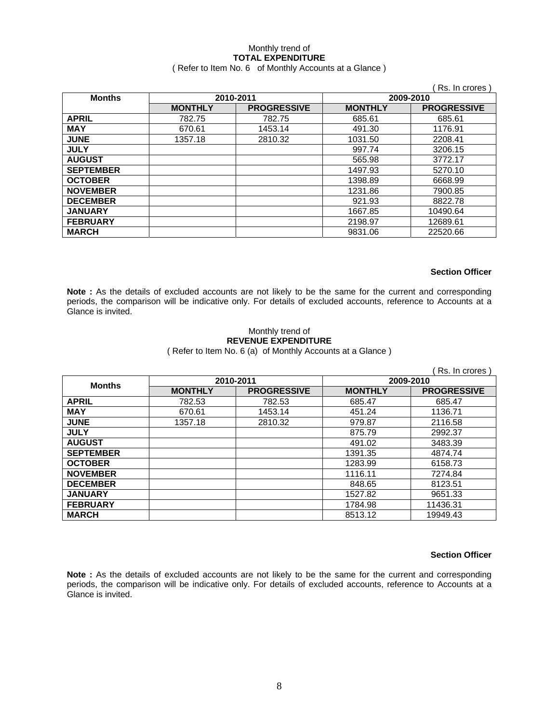# Monthly trend of **TOTAL EXPENDITURE**

### ( Refer to Item No. 6 of Monthly Accounts at a Glance )

|                  |                |                    |                | Rs. In crores      |
|------------------|----------------|--------------------|----------------|--------------------|
| <b>Months</b>    | 2010-2011      |                    | 2009-2010      |                    |
|                  | <b>MONTHLY</b> | <b>PROGRESSIVE</b> | <b>MONTHLY</b> | <b>PROGRESSIVE</b> |
| <b>APRIL</b>     | 782.75         | 782.75             | 685.61         | 685.61             |
| <b>MAY</b>       | 670.61         | 1453.14            | 491.30         | 1176.91            |
| <b>JUNE</b>      | 1357.18        | 2810.32            | 1031.50        | 2208.41            |
| <b>JULY</b>      |                |                    | 997.74         | 3206.15            |
| <b>AUGUST</b>    |                |                    | 565.98         | 3772.17            |
| <b>SEPTEMBER</b> |                |                    | 1497.93        | 5270.10            |
| <b>OCTOBER</b>   |                |                    | 1398.89        | 6668.99            |
| <b>NOVEMBER</b>  |                |                    | 1231.86        | 7900.85            |
| <b>DECEMBER</b>  |                |                    | 921.93         | 8822.78            |
| <b>JANUARY</b>   |                |                    | 1667.85        | 10490.64           |
| <b>FEBRUARY</b>  |                |                    | 2198.97        | 12689.61           |
| <b>MARCH</b>     |                |                    | 9831.06        | 22520.66           |

#### **Section Officer**

**Note :** As the details of excluded accounts are not likely to be the same for the current and corresponding periods, the comparison will be indicative only. For details of excluded accounts, reference to Accounts at a Glance is invited.

#### Monthly trend of **REVENUE EXPENDITURE**  ( Refer to Item No. 6 (a) of Monthly Accounts at a Glance )

|                  |                |                    |                | Rs. In crores      |
|------------------|----------------|--------------------|----------------|--------------------|
| <b>Months</b>    | 2010-2011      |                    | 2009-2010      |                    |
|                  | <b>MONTHLY</b> | <b>PROGRESSIVE</b> | <b>MONTHLY</b> | <b>PROGRESSIVE</b> |
| <b>APRIL</b>     | 782.53         | 782.53             | 685.47         | 685.47             |
| <b>MAY</b>       | 670.61         | 1453.14            | 451.24         | 1136.71            |
| <b>JUNE</b>      | 1357.18        | 2810.32            | 979.87         | 2116.58            |
| <b>JULY</b>      |                |                    | 875.79         | 2992.37            |
| <b>AUGUST</b>    |                |                    | 491.02         | 3483.39            |
| <b>SEPTEMBER</b> |                |                    | 1391.35        | 4874.74            |
| <b>OCTOBER</b>   |                |                    | 1283.99        | 6158.73            |
| <b>NOVEMBER</b>  |                |                    | 1116.11        | 7274.84            |
| <b>DECEMBER</b>  |                |                    | 848.65         | 8123.51            |
| <b>JANUARY</b>   |                |                    | 1527.82        | 9651.33            |
| <b>FEBRUARY</b>  |                |                    | 1784.98        | 11436.31           |
| <b>MARCH</b>     |                |                    | 8513.12        | 19949.43           |

#### **Section Officer**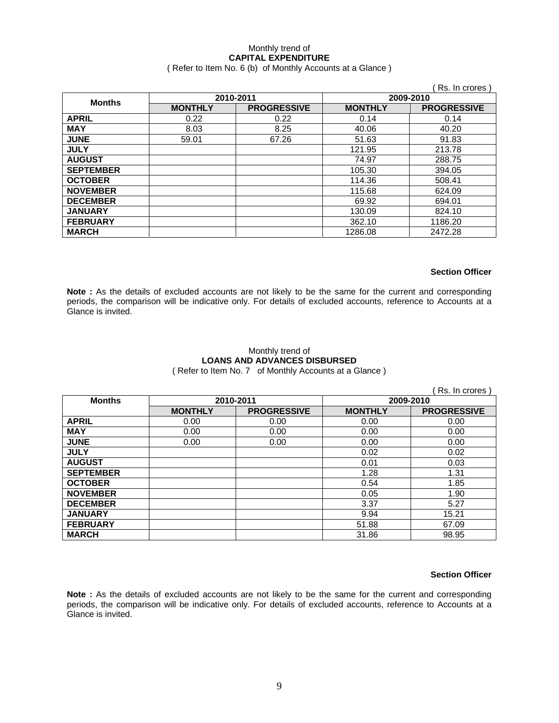### Monthly trend of **CAPITAL EXPENDITURE**

( Refer to Item No. 6 (b) of Monthly Accounts at a Glance )

|                  |                |                    |                | Rs. In crores      |
|------------------|----------------|--------------------|----------------|--------------------|
| <b>Months</b>    | 2010-2011      |                    | 2009-2010      |                    |
|                  | <b>MONTHLY</b> | <b>PROGRESSIVE</b> | <b>MONTHLY</b> | <b>PROGRESSIVE</b> |
| <b>APRIL</b>     | 0.22           | 0.22               | 0.14           | 0.14               |
| <b>MAY</b>       | 8.03           | 8.25               | 40.06          | 40.20              |
| <b>JUNE</b>      | 59.01          | 67.26              | 51.63          | 91.83              |
| <b>JULY</b>      |                |                    | 121.95         | 213.78             |
| <b>AUGUST</b>    |                |                    | 74.97          | 288.75             |
| <b>SEPTEMBER</b> |                |                    | 105.30         | 394.05             |
| <b>OCTOBER</b>   |                |                    | 114.36         | 508.41             |
| <b>NOVEMBER</b>  |                |                    | 115.68         | 624.09             |
| <b>DECEMBER</b>  |                |                    | 69.92          | 694.01             |
| <b>JANUARY</b>   |                |                    | 130.09         | 824.10             |
| <b>FEBRUARY</b>  |                |                    | 362.10         | 1186.20            |
| <b>MARCH</b>     |                |                    | 1286.08        | 2472.28            |

#### **Section Officer**

**Note :** As the details of excluded accounts are not likely to be the same for the current and corresponding periods, the comparison will be indicative only. For details of excluded accounts, reference to Accounts at a Glance is invited.

# Monthly trend of **LOANS AND ADVANCES DISBURSED**

( Refer to Item No. 7 of Monthly Accounts at a Glance )

|                  |                |                    |                | Rs. In crores      |
|------------------|----------------|--------------------|----------------|--------------------|
| <b>Months</b>    | 2010-2011      |                    | 2009-2010      |                    |
|                  | <b>MONTHLY</b> | <b>PROGRESSIVE</b> | <b>MONTHLY</b> | <b>PROGRESSIVE</b> |
| <b>APRIL</b>     | 0.00           | 0.00               | 0.00           | 0.00               |
| <b>MAY</b>       | 0.00           | 0.00               | 0.00           | 0.00               |
| <b>JUNE</b>      | 0.00           | 0.00               | 0.00           | 0.00               |
| <b>JULY</b>      |                |                    | 0.02           | 0.02               |
| <b>AUGUST</b>    |                |                    | 0.01           | 0.03               |
| <b>SEPTEMBER</b> |                |                    | 1.28           | 1.31               |
| <b>OCTOBER</b>   |                |                    | 0.54           | 1.85               |
| <b>NOVEMBER</b>  |                |                    | 0.05           | 1.90               |
| <b>DECEMBER</b>  |                |                    | 3.37           | 5.27               |
| <b>JANUARY</b>   |                |                    | 9.94           | 15.21              |
| <b>FEBRUARY</b>  |                |                    | 51.88          | 67.09              |
| <b>MARCH</b>     |                |                    | 31.86          | 98.95              |

### **Section Officer**